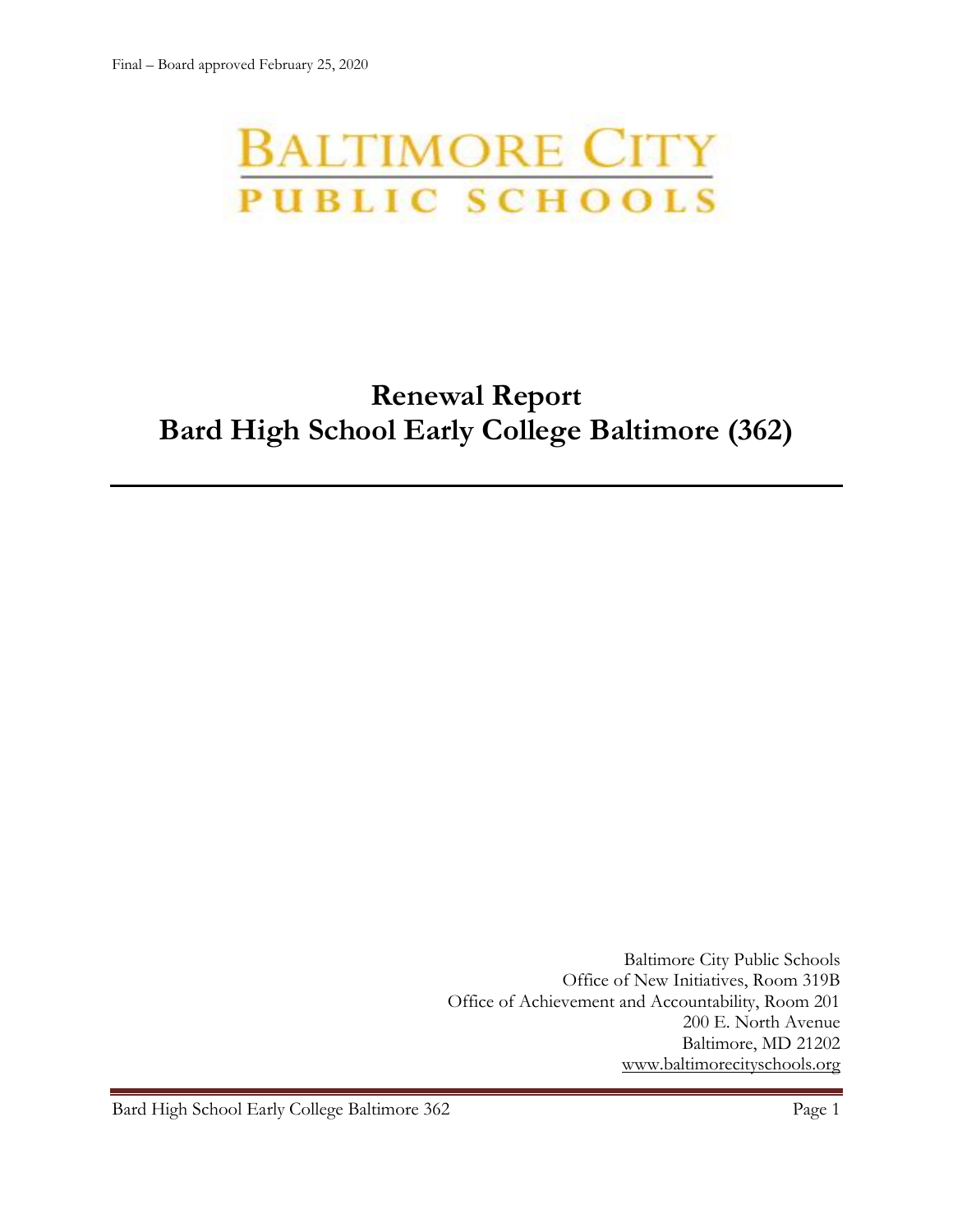# **BALTIMORE CITY** PUBLIC SCHOOLS

# **Renewal Report Bard High School Early College Baltimore (362)**

Baltimore City Public Schools Office of New Initiatives, Room 319B Office of Achievement and Accountability, Room 201 200 E. North Avenue Baltimore, MD 21202 [www.baltimorecityschools.org](http://www.baltimorecityschools.org/)

Bard High School Early College Baltimore 362 Page 1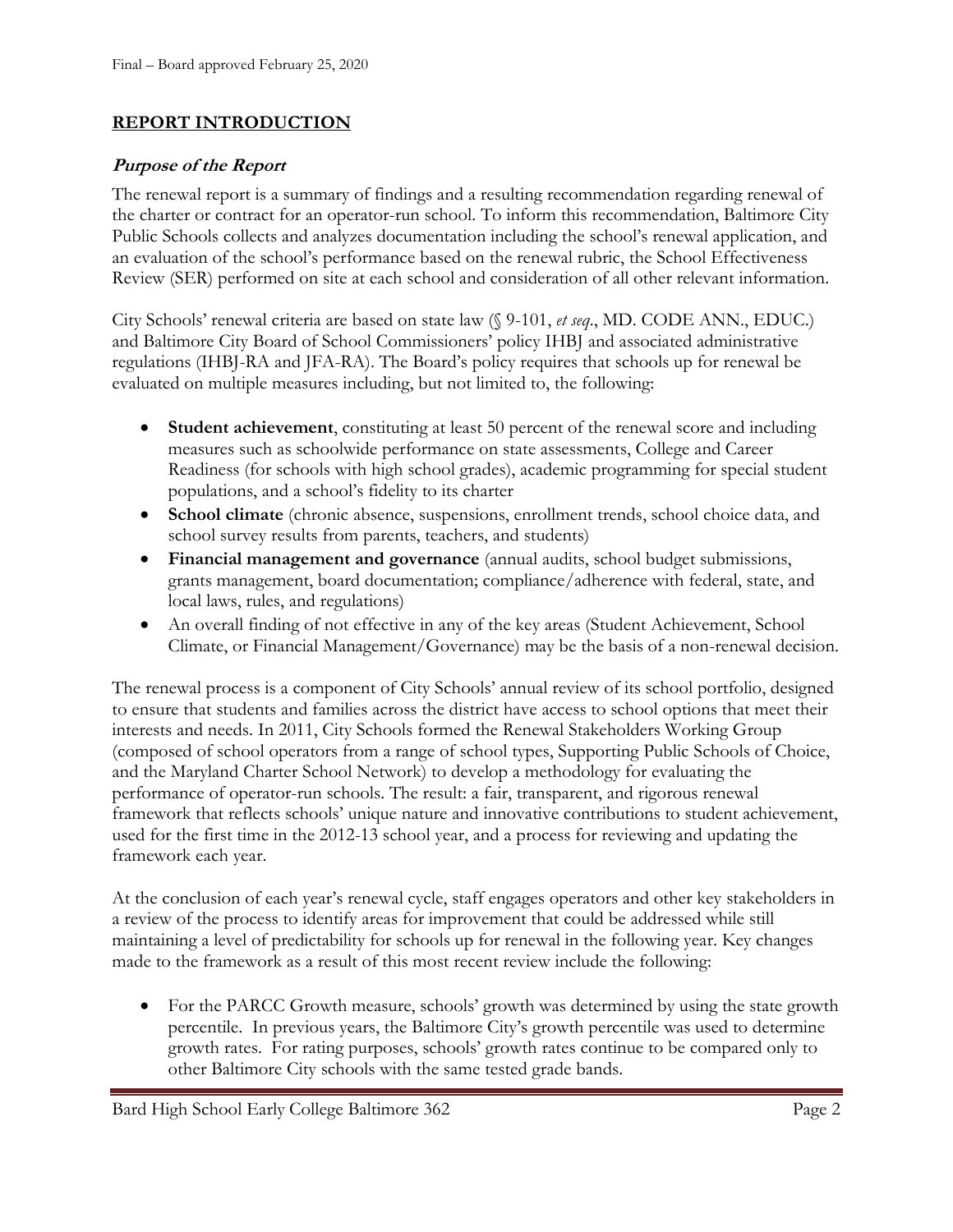#### **REPORT INTRODUCTION**

#### **Purpose of the Report**

The renewal report is a summary of findings and a resulting recommendation regarding renewal of the charter or contract for an operator-run school. To inform this recommendation, Baltimore City Public Schools collects and analyzes documentation including the school's renewal application, and an evaluation of the school's performance based on the renewal rubric, the School Effectiveness Review (SER) performed on site at each school and consideration of all other relevant information.

City Schools' renewal criteria are based on state law (§ 9-101, *et seq*., MD. CODE ANN., EDUC.) and Baltimore City Board of School Commissioners' policy IHBJ and associated administrative regulations (IHBJ-RA and JFA-RA). The Board's policy requires that schools up for renewal be evaluated on multiple measures including, but not limited to, the following:

- **Student achievement**, constituting at least 50 percent of the renewal score and including measures such as schoolwide performance on state assessments, College and Career Readiness (for schools with high school grades), academic programming for special student populations, and a school's fidelity to its charter
- **School climate** (chronic absence, suspensions, enrollment trends, school choice data, and school survey results from parents, teachers, and students)
- **Financial management and governance** (annual audits, school budget submissions, grants management, board documentation; compliance/adherence with federal, state, and local laws, rules, and regulations)
- An overall finding of not effective in any of the key areas (Student Achievement, School Climate, or Financial Management/Governance) may be the basis of a non-renewal decision.

The renewal process is a component of City Schools' annual review of its school portfolio, designed to ensure that students and families across the district have access to school options that meet their interests and needs. In 2011, City Schools formed the Renewal Stakeholders Working Group (composed of school operators from a range of school types, Supporting Public Schools of Choice, and the Maryland Charter School Network) to develop a methodology for evaluating the performance of operator-run schools. The result: a fair, transparent, and rigorous renewal framework that reflects schools' unique nature and innovative contributions to student achievement, used for the first time in the 2012-13 school year, and a process for reviewing and updating the framework each year.

At the conclusion of each year's renewal cycle, staff engages operators and other key stakeholders in a review of the process to identify areas for improvement that could be addressed while still maintaining a level of predictability for schools up for renewal in the following year. Key changes made to the framework as a result of this most recent review include the following:

• For the PARCC Growth measure, schools' growth was determined by using the state growth percentile. In previous years, the Baltimore City's growth percentile was used to determine growth rates. For rating purposes, schools' growth rates continue to be compared only to other Baltimore City schools with the same tested grade bands.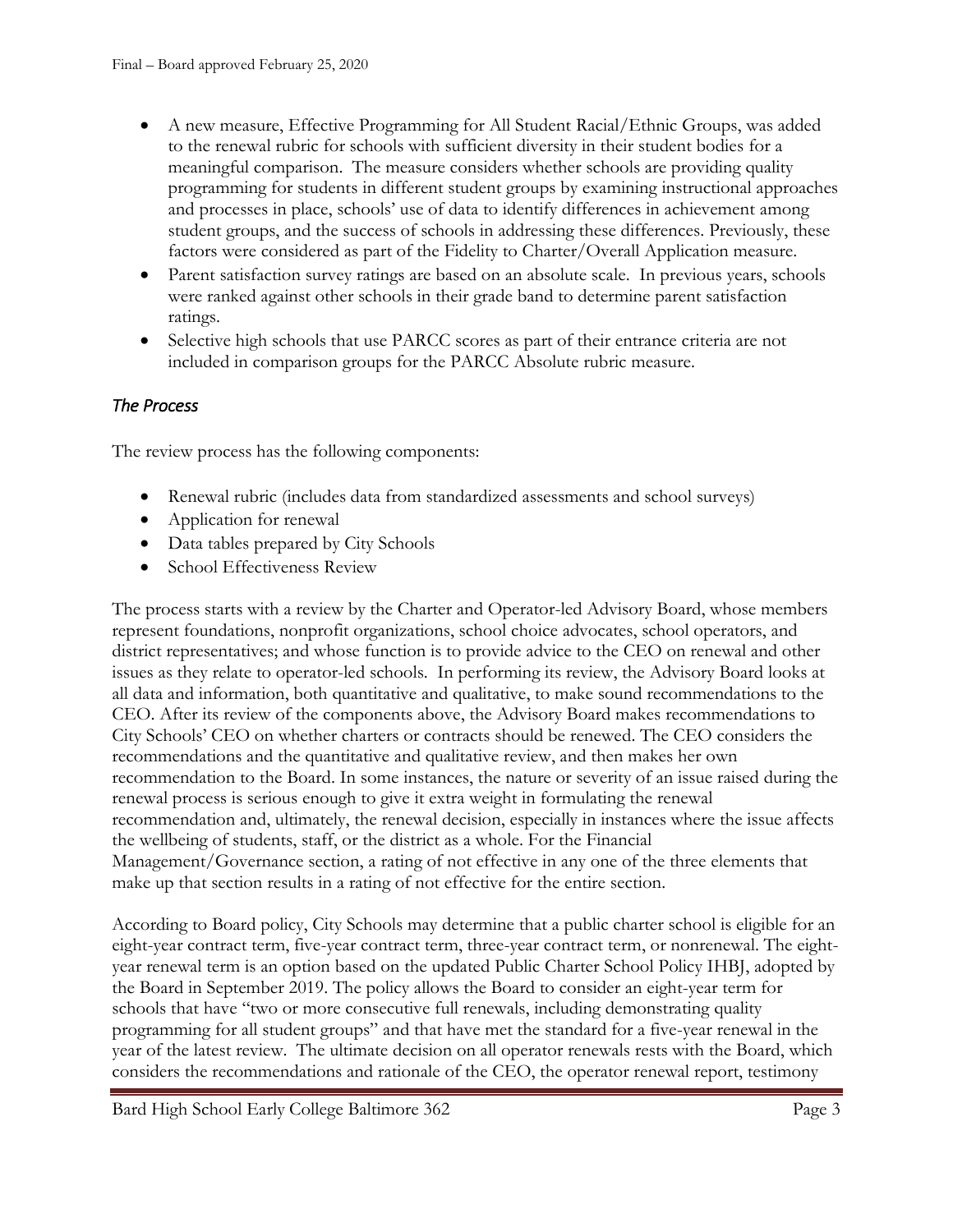- A new measure, Effective Programming for All Student Racial/Ethnic Groups, was added to the renewal rubric for schools with sufficient diversity in their student bodies for a meaningful comparison. The measure considers whether schools are providing quality programming for students in different student groups by examining instructional approaches and processes in place, schools' use of data to identify differences in achievement among student groups, and the success of schools in addressing these differences. Previously, these factors were considered as part of the Fidelity to Charter/Overall Application measure.
- Parent satisfaction survey ratings are based on an absolute scale. In previous years, schools were ranked against other schools in their grade band to determine parent satisfaction ratings.
- Selective high schools that use PARCC scores as part of their entrance criteria are not included in comparison groups for the PARCC Absolute rubric measure.

### *The Process*

The review process has the following components:

- Renewal rubric (includes data from standardized assessments and school surveys)
- Application for renewal
- Data tables prepared by City Schools
- School Effectiveness Review

The process starts with a review by the Charter and Operator-led Advisory Board, whose members represent foundations, nonprofit organizations, school choice advocates, school operators, and district representatives; and whose function is to provide advice to the CEO on renewal and other issues as they relate to operator-led schools. In performing its review, the Advisory Board looks at all data and information, both quantitative and qualitative, to make sound recommendations to the CEO. After its review of the components above, the Advisory Board makes recommendations to City Schools' CEO on whether charters or contracts should be renewed. The CEO considers the recommendations and the quantitative and qualitative review, and then makes her own recommendation to the Board. In some instances, the nature or severity of an issue raised during the renewal process is serious enough to give it extra weight in formulating the renewal recommendation and, ultimately, the renewal decision, especially in instances where the issue affects the wellbeing of students, staff, or the district as a whole. For the Financial Management/Governance section, a rating of not effective in any one of the three elements that make up that section results in a rating of not effective for the entire section.

According to Board policy, City Schools may determine that a public charter school is eligible for an eight-year contract term, five-year contract term, three-year contract term, or nonrenewal. The eightyear renewal term is an option based on the updated Public Charter School Policy IHBJ, adopted by the Board in September 2019. The policy allows the Board to consider an eight-year term for schools that have "two or more consecutive full renewals, including demonstrating quality programming for all student groups" and that have met the standard for a five-year renewal in the year of the latest review. The ultimate decision on all operator renewals rests with the Board, which considers the recommendations and rationale of the CEO, the operator renewal report, testimony

Bard High School Early College Baltimore 362 Page 3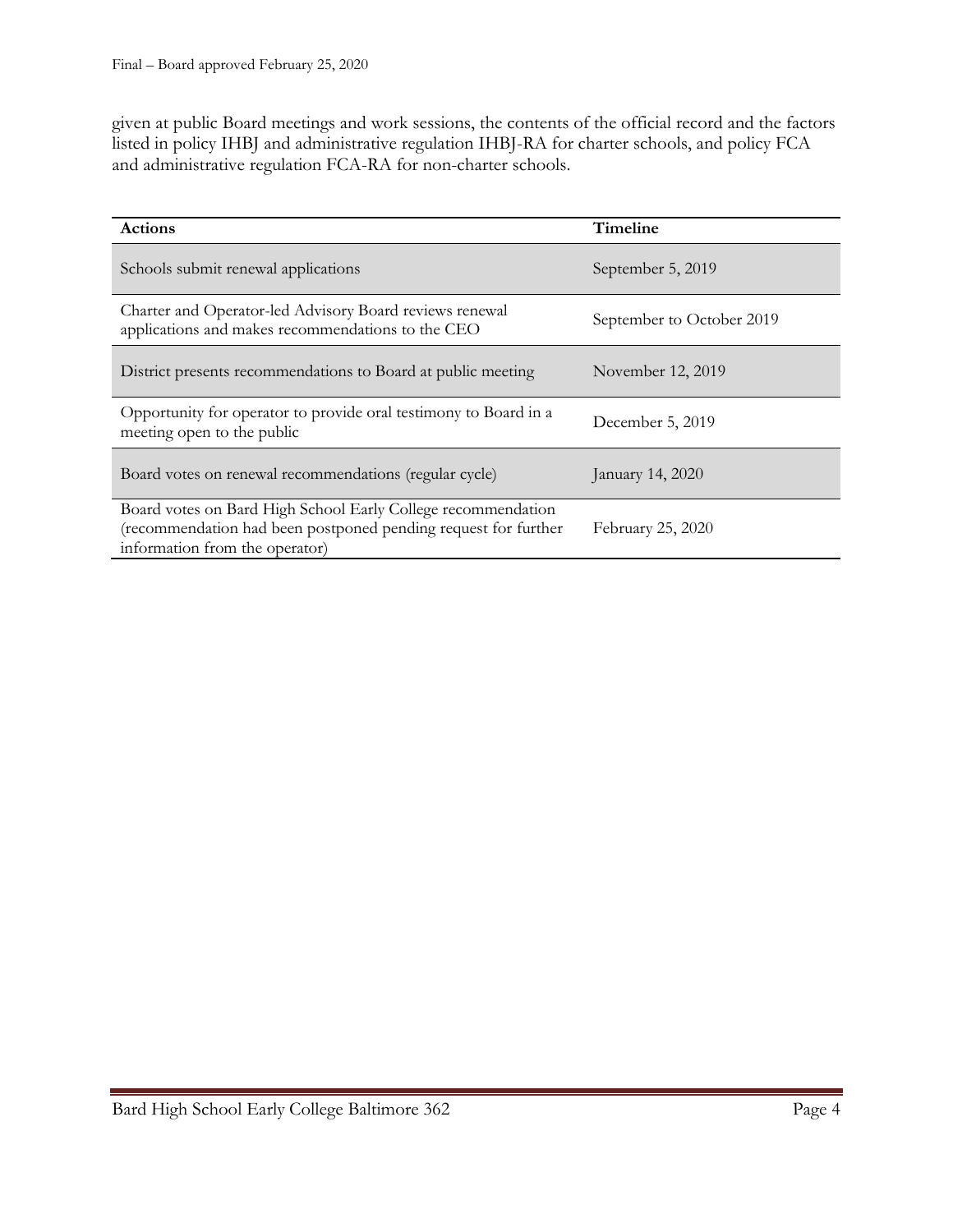given at public Board meetings and work sessions, the contents of the official record and the factors listed in policy IHBJ and administrative regulation IHBJ-RA for charter schools, and policy FCA and administrative regulation FCA-RA for non-charter schools.

| <b>Actions</b>                                                                                                                                                   | Timeline                  |
|------------------------------------------------------------------------------------------------------------------------------------------------------------------|---------------------------|
| Schools submit renewal applications                                                                                                                              | September 5, 2019         |
| Charter and Operator-led Advisory Board reviews renewal<br>applications and makes recommendations to the CEO                                                     | September to October 2019 |
| District presents recommendations to Board at public meeting                                                                                                     | November 12, 2019         |
| Opportunity for operator to provide oral testimony to Board in a<br>meeting open to the public                                                                   | December 5, 2019          |
| Board votes on renewal recommendations (regular cycle)                                                                                                           | January 14, 2020          |
| Board votes on Bard High School Early College recommendation<br>(recommendation had been postponed pending request for further<br>information from the operator) | February 25, 2020         |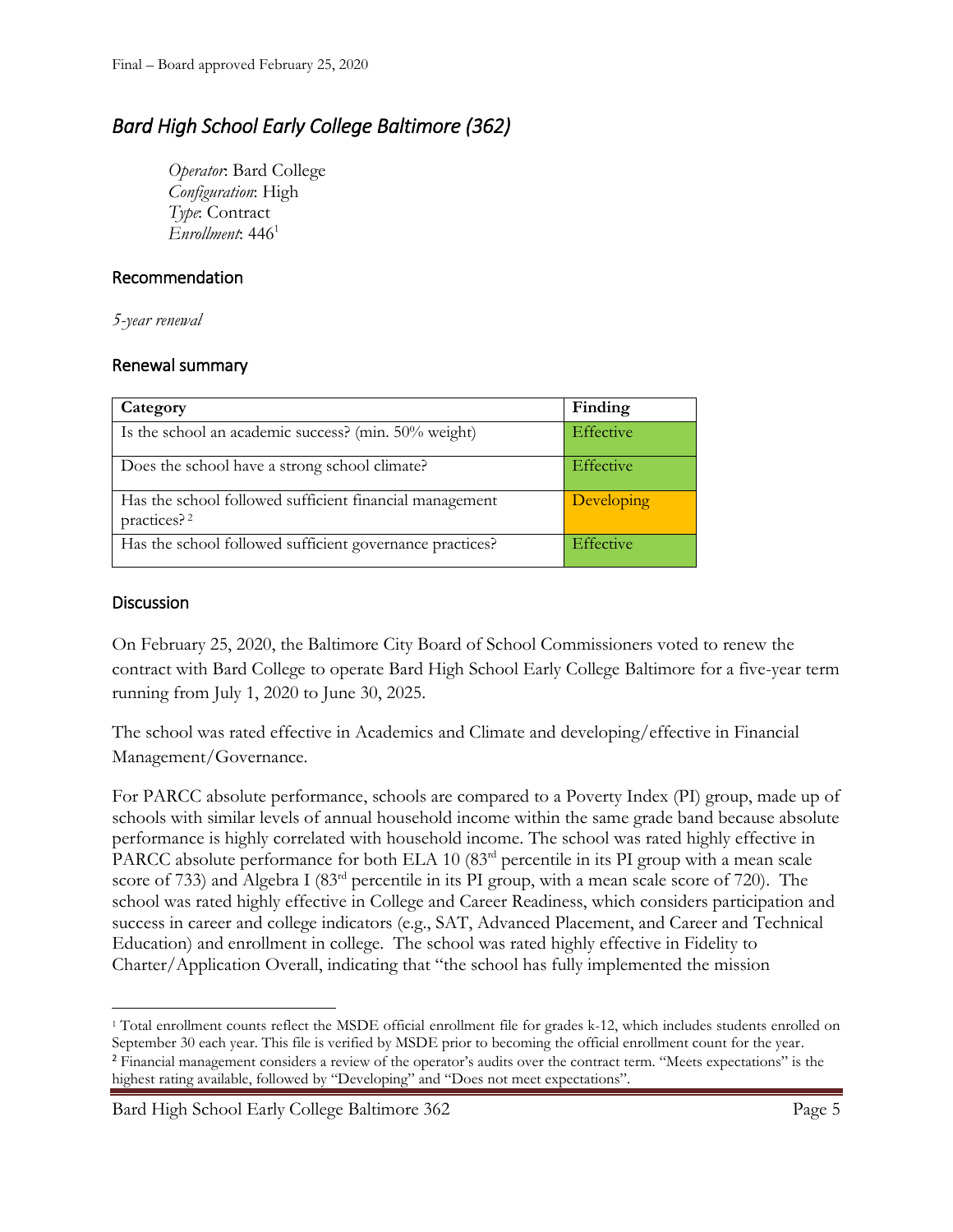## *Bard High School Early College Baltimore (362)*

*Operator*: Bard College *Configuration*: High *Type*: Contract *Enrollment*: 446<sup>1</sup>

#### Recommendation

*5-year renewal*

#### Renewal summary

| Category                                                                           | Finding    |
|------------------------------------------------------------------------------------|------------|
| Is the school an academic success? (min. 50% weight)                               | Effective  |
| Does the school have a strong school climate?                                      | Effective  |
| Has the school followed sufficient financial management<br>practices? <sup>2</sup> | Developing |
| Has the school followed sufficient governance practices?                           | Effective  |

#### **Discussion**

On February 25, 2020, the Baltimore City Board of School Commissioners voted to renew the contract with Bard College to operate Bard High School Early College Baltimore for a five-year term running from July 1, 2020 to June 30, 2025.

The school was rated effective in Academics and Climate and developing/effective in Financial Management/Governance.

For PARCC absolute performance, schools are compared to a Poverty Index (PI) group, made up of schools with similar levels of annual household income within the same grade band because absolute performance is highly correlated with household income. The school was rated highly effective in PARCC absolute performance for both ELA 10 (83<sup>rd</sup> percentile in its PI group with a mean scale score of 733) and Algebra I (83<sup>rd</sup> percentile in its PI group, with a mean scale score of 720). The school was rated highly effective in College and Career Readiness, which considers participation and success in career and college indicators (e.g., SAT, Advanced Placement, and Career and Technical Education) and enrollment in college. The school was rated highly effective in Fidelity to Charter/Application Overall, indicating that "the school has fully implemented the mission

Bard High School Early College Baltimore 362 Page 5

l <sup>1</sup> Total enrollment counts reflect the MSDE official enrollment file for grades k-12, which includes students enrolled on September 30 each year. This file is verified by MSDE prior to becoming the official enrollment count for the year. <sup>2</sup> Financial management considers a review of the operator's audits over the contract term. "Meets expectations" is the highest rating available, followed by "Developing" and "Does not meet expectations".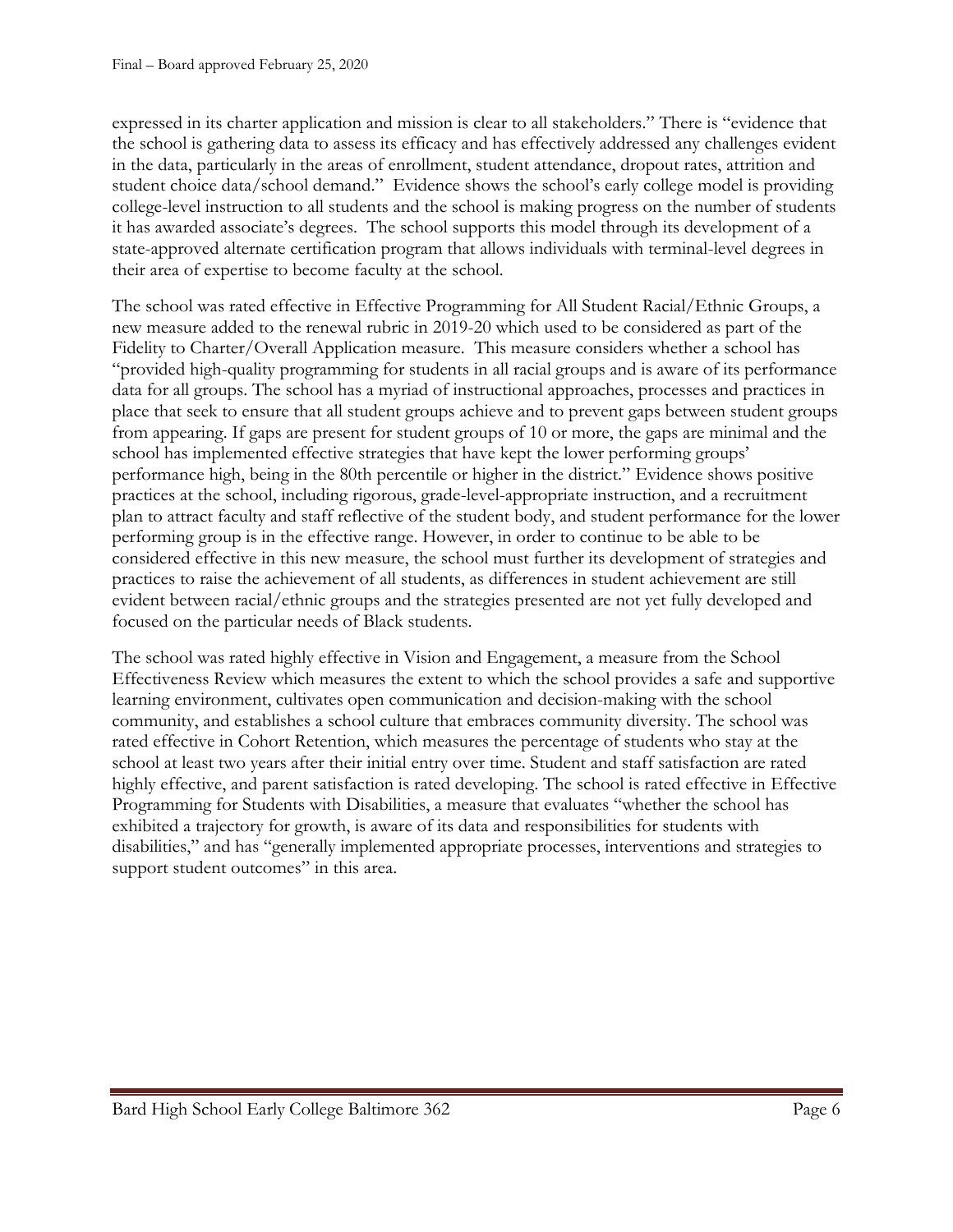expressed in its charter application and mission is clear to all stakeholders." There is "evidence that the school is gathering data to assess its efficacy and has effectively addressed any challenges evident in the data, particularly in the areas of enrollment, student attendance, dropout rates, attrition and student choice data/school demand." Evidence shows the school's early college model is providing college-level instruction to all students and the school is making progress on the number of students it has awarded associate's degrees. The school supports this model through its development of a state-approved alternate certification program that allows individuals with terminal-level degrees in their area of expertise to become faculty at the school.

The school was rated effective in Effective Programming for All Student Racial/Ethnic Groups, a new measure added to the renewal rubric in 2019-20 which used to be considered as part of the Fidelity to Charter/Overall Application measure. This measure considers whether a school has "provided high-quality programming for students in all racial groups and is aware of its performance data for all groups. The school has a myriad of instructional approaches, processes and practices in place that seek to ensure that all student groups achieve and to prevent gaps between student groups from appearing. If gaps are present for student groups of 10 or more, the gaps are minimal and the school has implemented effective strategies that have kept the lower performing groups' performance high, being in the 80th percentile or higher in the district." Evidence shows positive practices at the school, including rigorous, grade-level-appropriate instruction, and a recruitment plan to attract faculty and staff reflective of the student body, and student performance for the lower performing group is in the effective range. However, in order to continue to be able to be considered effective in this new measure, the school must further its development of strategies and practices to raise the achievement of all students, as differences in student achievement are still evident between racial/ethnic groups and the strategies presented are not yet fully developed and focused on the particular needs of Black students.

The school was rated highly effective in Vision and Engagement, a measure from the School Effectiveness Review which measures the extent to which the school provides a safe and supportive learning environment, cultivates open communication and decision-making with the school community, and establishes a school culture that embraces community diversity. The school was rated effective in Cohort Retention, which measures the percentage of students who stay at the school at least two years after their initial entry over time. Student and staff satisfaction are rated highly effective, and parent satisfaction is rated developing. The school is rated effective in Effective Programming for Students with Disabilities, a measure that evaluates "whether the school has exhibited a trajectory for growth, is aware of its data and responsibilities for students with disabilities," and has "generally implemented appropriate processes, interventions and strategies to support student outcomes" in this area.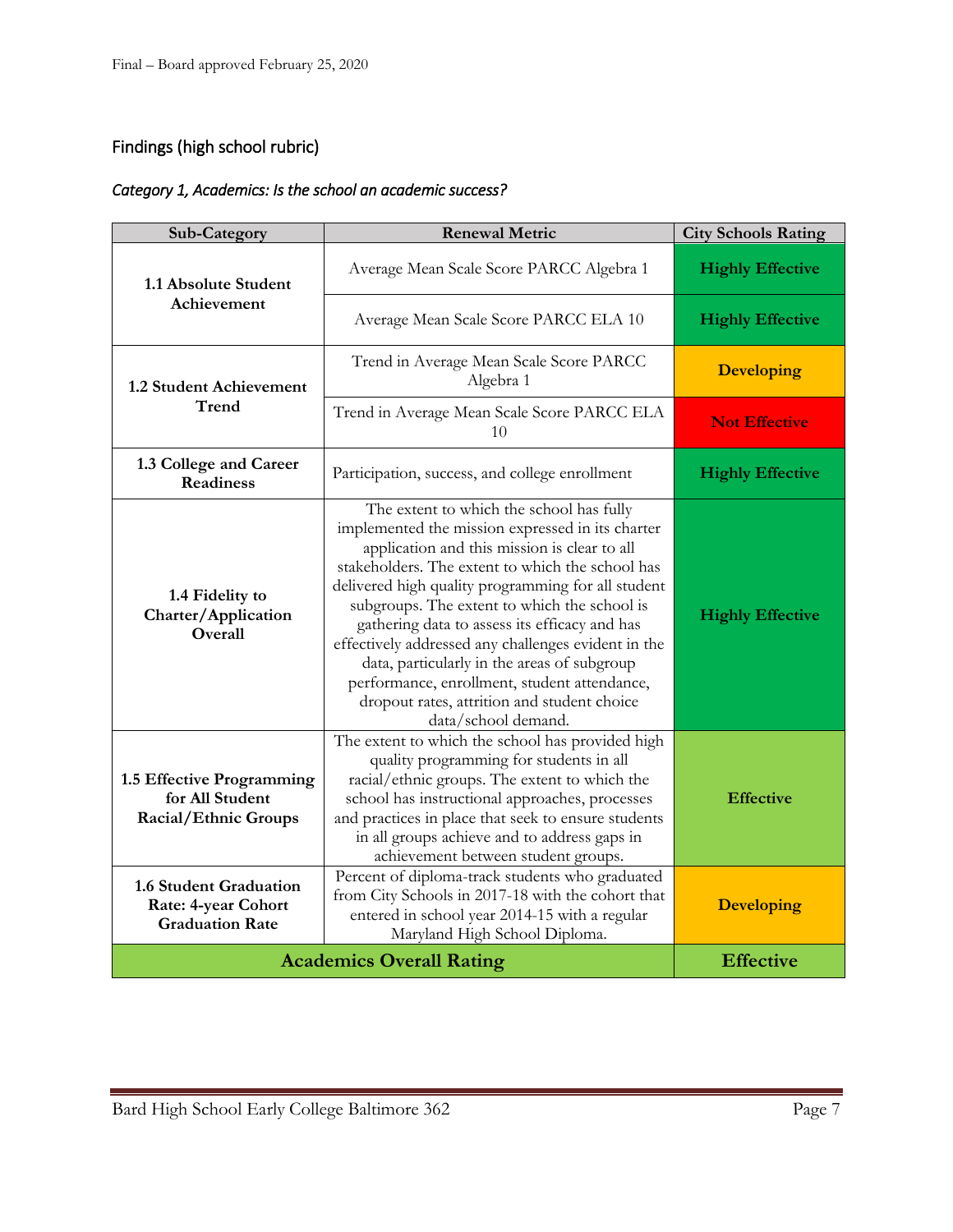#### Findings (high school rubric)

#### *Category 1, Academics: Is the school an academic success?*

| <b>Sub-Category</b>                                                                   | <b>Renewal Metric</b>                                                                                                                                                                                                                                                                                                                                                                                                                                                                                                                                                               | <b>City Schools Rating</b> |
|---------------------------------------------------------------------------------------|-------------------------------------------------------------------------------------------------------------------------------------------------------------------------------------------------------------------------------------------------------------------------------------------------------------------------------------------------------------------------------------------------------------------------------------------------------------------------------------------------------------------------------------------------------------------------------------|----------------------------|
| 1.1 Absolute Student                                                                  | Average Mean Scale Score PARCC Algebra 1                                                                                                                                                                                                                                                                                                                                                                                                                                                                                                                                            | <b>Highly Effective</b>    |
| Achievement                                                                           | Average Mean Scale Score PARCC ELA 10                                                                                                                                                                                                                                                                                                                                                                                                                                                                                                                                               | <b>Highly Effective</b>    |
| 1.2 Student Achievement                                                               | Trend in Average Mean Scale Score PARCC<br>Algebra 1                                                                                                                                                                                                                                                                                                                                                                                                                                                                                                                                | <b>Developing</b>          |
| Trend                                                                                 | Trend in Average Mean Scale Score PARCC ELA<br>10                                                                                                                                                                                                                                                                                                                                                                                                                                                                                                                                   | <b>Not Effective</b>       |
| 1.3 College and Career<br><b>Readiness</b>                                            | Participation, success, and college enrollment                                                                                                                                                                                                                                                                                                                                                                                                                                                                                                                                      | <b>Highly Effective</b>    |
| 1.4 Fidelity to<br>Charter/Application<br>Overall                                     | The extent to which the school has fully<br>implemented the mission expressed in its charter<br>application and this mission is clear to all<br>stakeholders. The extent to which the school has<br>delivered high quality programming for all student<br>subgroups. The extent to which the school is<br>gathering data to assess its efficacy and has<br>effectively addressed any challenges evident in the<br>data, particularly in the areas of subgroup<br>performance, enrollment, student attendance,<br>dropout rates, attrition and student choice<br>data/school demand. | <b>Highly Effective</b>    |
| 1.5 Effective Programming<br>for All Student<br>Racial/Ethnic Groups                  | The extent to which the school has provided high<br>quality programming for students in all<br>racial/ethnic groups. The extent to which the<br>school has instructional approaches, processes<br>and practices in place that seek to ensure students<br>in all groups achieve and to address gaps in<br>achievement between student groups.                                                                                                                                                                                                                                        | <b>Effective</b>           |
| <b>1.6 Student Graduation</b><br><b>Rate: 4-year Cohort</b><br><b>Graduation Rate</b> | Percent of diploma-track students who graduated<br>from City Schools in 2017-18 with the cohort that<br>entered in school year 2014-15 with a regular<br>Maryland High School Diploma.                                                                                                                                                                                                                                                                                                                                                                                              | <b>Developing</b>          |
|                                                                                       | <b>Academics Overall Rating</b>                                                                                                                                                                                                                                                                                                                                                                                                                                                                                                                                                     | <b>Effective</b>           |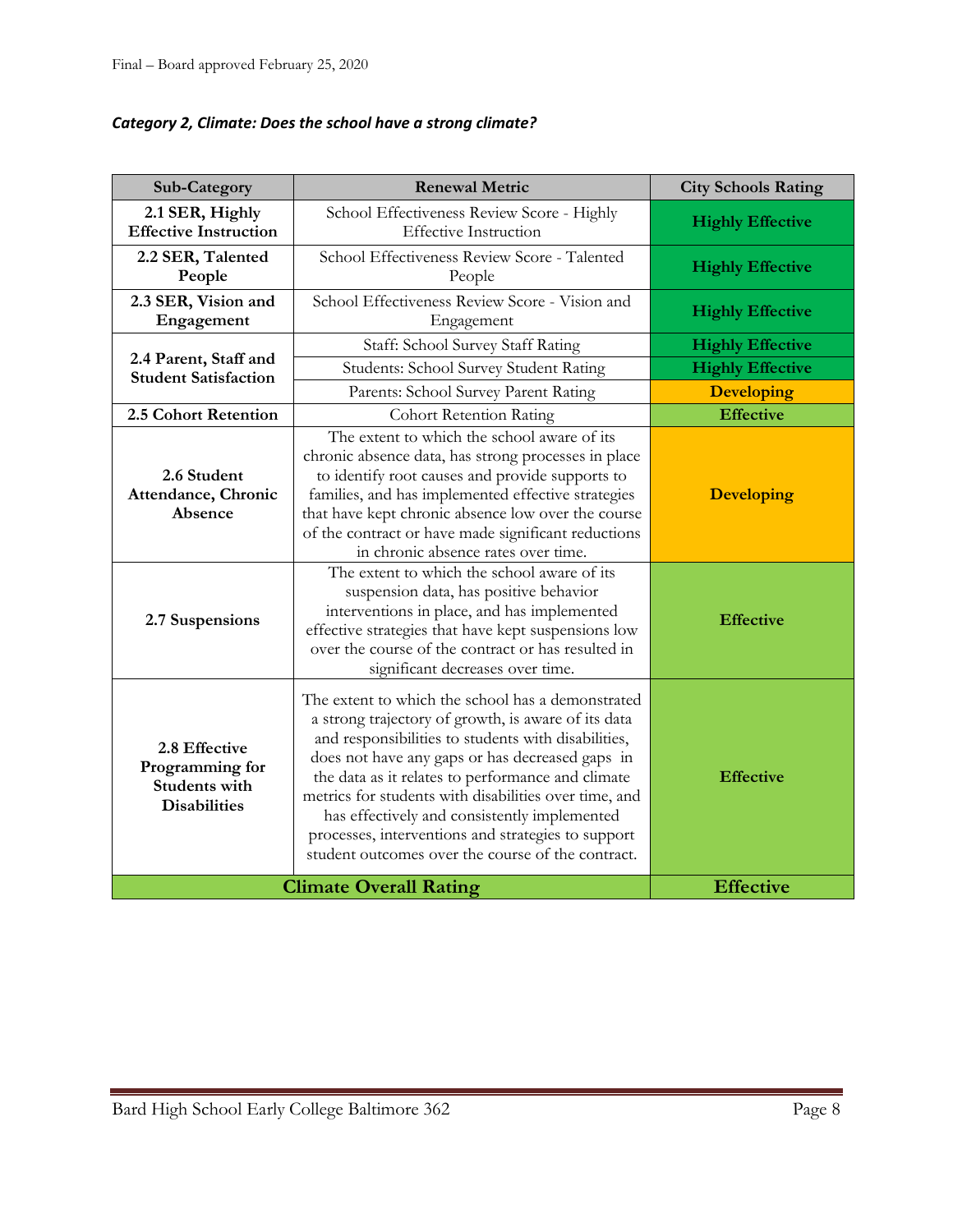| Category 2, Climate: Does the school have a strong climate? |  |  |  |
|-------------------------------------------------------------|--|--|--|
|-------------------------------------------------------------|--|--|--|

| Sub-Category                                                                    | <b>Renewal Metric</b>                                                                                                                                                                                                                                                                                                                                                                                                                                                                       | <b>City Schools Rating</b> |
|---------------------------------------------------------------------------------|---------------------------------------------------------------------------------------------------------------------------------------------------------------------------------------------------------------------------------------------------------------------------------------------------------------------------------------------------------------------------------------------------------------------------------------------------------------------------------------------|----------------------------|
| 2.1 SER, Highly<br><b>Effective Instruction</b>                                 | School Effectiveness Review Score - Highly<br><b>Effective Instruction</b>                                                                                                                                                                                                                                                                                                                                                                                                                  | <b>Highly Effective</b>    |
| 2.2 SER, Talented<br>People                                                     | School Effectiveness Review Score - Talented<br>People                                                                                                                                                                                                                                                                                                                                                                                                                                      | <b>Highly Effective</b>    |
| 2.3 SER, Vision and<br>Engagement                                               | School Effectiveness Review Score - Vision and<br>Engagement                                                                                                                                                                                                                                                                                                                                                                                                                                | <b>Highly Effective</b>    |
|                                                                                 | Staff: School Survey Staff Rating                                                                                                                                                                                                                                                                                                                                                                                                                                                           | <b>Highly Effective</b>    |
| 2.4 Parent, Staff and<br><b>Student Satisfaction</b>                            | Students: School Survey Student Rating                                                                                                                                                                                                                                                                                                                                                                                                                                                      | <b>Highly Effective</b>    |
|                                                                                 | Parents: School Survey Parent Rating                                                                                                                                                                                                                                                                                                                                                                                                                                                        | <b>Developing</b>          |
| 2.5 Cohort Retention                                                            | <b>Cohort Retention Rating</b>                                                                                                                                                                                                                                                                                                                                                                                                                                                              | <b>Effective</b>           |
| 2.6 Student<br>Attendance, Chronic<br>Absence                                   | The extent to which the school aware of its<br>chronic absence data, has strong processes in place<br>to identify root causes and provide supports to<br>families, and has implemented effective strategies<br>that have kept chronic absence low over the course<br>of the contract or have made significant reductions<br>in chronic absence rates over time.                                                                                                                             | <b>Developing</b>          |
| 2.7 Suspensions                                                                 | The extent to which the school aware of its<br>suspension data, has positive behavior<br>interventions in place, and has implemented<br>effective strategies that have kept suspensions low<br>over the course of the contract or has resulted in<br>significant decreases over time.                                                                                                                                                                                                       | <b>Effective</b>           |
| 2.8 Effective<br>Programming for<br><b>Students with</b><br><b>Disabilities</b> | The extent to which the school has a demonstrated<br>a strong trajectory of growth, is aware of its data<br>and responsibilities to students with disabilities,<br>does not have any gaps or has decreased gaps in<br>the data as it relates to performance and climate<br>metrics for students with disabilities over time, and<br>has effectively and consistently implemented<br>processes, interventions and strategies to support<br>student outcomes over the course of the contract. | <b>Effective</b>           |
|                                                                                 | <b>Climate Overall Rating</b>                                                                                                                                                                                                                                                                                                                                                                                                                                                               | <b>Effective</b>           |